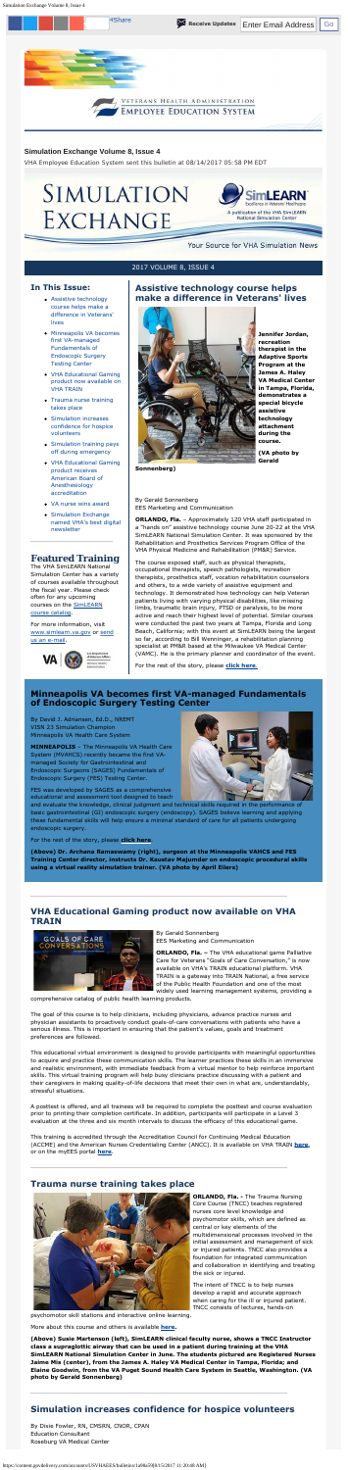Simulation Exchange Volume 8, Issue 4

### **Simulation Exchange Volume 8, Issue 4**

*VHA Employee Education System sent this bulletin at 08/14/2017 05:58 PM EDT* 

#### 2017 VOLUME 8, ISSUE 4

### **In This Issue:**

• Simulation Exchange [named VHA's best digital](#page-1-0)  newsletter

- Assistive technology course helps make a difference in Veterans' lives
- Minneapolis VA becomes first VA-managed Fundamentals of Endoscopic Surgery Testing Center
- VHA Educational Gaming product now available on VHA TRAIN
- Trauma nurse training takes place
- Simulation increases confidence for hospice volunteers
- [Simulation training pays](#page-1-0)  off during emergency
- [VHA Educational Gaming](#page-1-0)  product receives American Board of Anesthesiology accreditation
- [VA nurse wins award](#page-1-0)

courses on the **SimLEARN** The VHA SimLEARN National Simulation Center has a variety of courses available throughout the fiscal year. Please check often for any upcoming course catalog.

## **Featured Training**

For more information, visit [www.simlearn.va.gov](http://www.simlearn.va.gov/) or send us an e-mail.



# **Assistive technology course helps make a difference in Veterans' lives**



**Jennifer Jordan, recreation therapist in the Adaptive Sports Program at the James A. Haley VA Medical Center in Tampa, Florida, demonstrates a special bicycle assistive technology attachment during the course.** 

For the rest of the story, please **[click here](https://www.simlearn.va.gov/SIMLEARN/FA_2017_16_Assistive_Technology_course_helps_staff_make_a_difference_in_Veterans_lives.asp)**.

**(VA photo by Gerald** 

**Sonnenberg)** 

By Gerald Sonnenberg EES Marketing and Communication

**ORLANDO, Fla.** – Approximately 120 VHA staff participated in a "hands on" assistive technology course June 20-22 at the VHA SimLEARN National Simulation Center. It was sponsored by the Rehabilitation and Prosthetics Services Program Office of the VHA Physical Medicine and Rehabilitation (PM&R) Service.

The course exposed staff, such as physical therapists, occupational therapists, speech pathologists, recreation therapists, prosthetics staff, vocation rehabilitation counselors and others, to a wide variety of assistive equipment and technology. It demonstrated how technology can help Veteran patients living with varying physical disabilities, like missing limbs, traumatic brain injury, PTSD or paralysis, to be more active and reach their highest level of potential. Similar courses were conducted the past two years at Tampa, Florida and Long Beach, California; with this event at SimLEARN being the largest so far, according to Bill Wenninger, a rehabilitation planning specialist at PM&R based at the Milwaukee VA Medical Center (VAMC). He is the primary planner and coordinator of the event.

## **Minneapolis VA becomes first VA-managed Fundamentals of Endoscopic Surgery Testing Center**

By David J. Adriansen, Ed.D., NREMT VISN 23 Simulation Champion Minneapolis VA Health Care System

**MINNEAPOLIS** – The Minneapolis VA Health Care System (MVAHCS) recently became the first VAmanaged Society for Gastrointestinal and Endoscopic Surgeons (SAGES) Fundamentals of Endoscopic Surgery (FES) Testing Center.

FES was developed by SAGES as a comprehensive educational and assessment tool designed to teach



For the rest of the story, please **[click here](https://www.simlearn.va.gov/SIMLEARN/FA_2017_17_Minneapolis_VA_becomes_first_VA_managed_Fundamentals_of_Endoscopic_Surgery_Testing_Center.asp)**.



**(Above) Dr. Archana Ramaswamy (right), surgeon at the Minneapolis VAHCS and FES Training Center director, instructs Dr. Kaustav Majumder on endoscopic procedural skills using a virtual reality simulation trainer. (VA photo by April Eilers)** 

## **VHA Educational Gaming product now available on VHA TRAIN**



By Gerald Sonnenberg EES Marketing and Communication

**ORLANDO, Fla. –** The VHA educational game Palliative Care for Veterans "Goals of Care Conversation," is now available on VHA's TRAIN educational platform. VHA TRAIN is a gateway into TRAIN National, a free service of the Public Health Foundation and one of the most widely used learning management systems, providing a

comprehensive catalog of public health learning products.

The goal of this course is to help clinicians, including physicians, advance practice nurses and physician assistants to proactively conduct goals-of-care conversations with patients who have a serious illness. This is important in ensuring that the patient's values, goals and treatment preferences are followed.



This educational virtual environment is designed to provide participants with meaningful opportunities to acquire and practice these communication skills. The learner practices these skills in an immersive and realistic environment, with immediate feedback from a virtual mentor to help reinforce important skills. This virtual training program will help busy clinicians practice discussing with a patient and their caregivers in making quality-of-life decisions that meet their own in what are, understandably, stressful situations.

A posttest is offered, and all trainees will be required to complete the posttest and course evaluation prior to printing their completion certificate. In addition, participants will participate in a Level 3 evaluation at the three and six month intervals to discuss the efficacy of this educational game.

This training is accredited through the Accreditation Council for Continuing Medical Education (ACCME) and the American Nurses Credentialing Center (ANCC). It is available on VHA TRAIN **[here](http://links.govdelivery.com/track?type=click&enid=ZWFzPTEmbXNpZD0mYXVpZD0mbWFpbGluZ2lkPTIwMTcwNzE3Ljc1OTg4MzgxJm1lc3NhZ2VpZD1NREItUFJELUJVTC0yMDE3MDcxNy43NTk4ODM4MSZkYXRhYmFzZWlkPTEwMDEmc2VyaWFsPTE4MDQyMDUwJmVtYWlsaWQ9amVmZnJleS5iaXNob3BAdmEuZ292JnVzZXJpZD1qZWZmcmV5LmJpc2hvcEB2YS5nb3YmdGFyZ2V0aWQ9JmZsPSZleHRyYT1NdWx0aXZhcmlhdGVJZD0mJiY=&&&101&&&https://www.train.org/vha/course/1071916/)**, or on the myEES portal **[here](https://myees.lrn.va.gov/SimLEARN/Gaming/SitePages/Goals%20of%20Care%20Conversation.aspx)**.



## **Trauma nurse training takes place**

**ORLANDO, Fla. -** The Trauma Nursing Core Course (TNCC) teaches registered nurses core level knowledge and psychomotor skills, which are defined as central or key elements of the multidimensional processes involved in the initial assessment and management of sick or injured patients. TNCC also provides a foundation for integrated communication and collaboration in identifying and treating the sick or injured.

The intent of TNCC is to help nurses develop a rapid and accurate approach when caring for the ill or injured patient. TNCC consists of lectures, hands-on

psychomotor skill stations and interactive online learning.

More about this course and others is available **[here](https://myees.lrn.va.gov/SimLEARN/Class%20Registration/Course%20Catalog.aspx).** 

**(Above) Susie Martenson (left), SimLEARN clinical faculty nurse, shows a TNCC Instructor class a supraglottic airway that can be used in a patient during training at the VHA SimLEARN National Simulation Center in June. The students pictured are Registered Nurses Jaime Mis (center), from the James A. Haley VA Medical Center in Tampa, Florida; and Elaine Goodwin, from the VA Puget Sound Health Care System in Seattle, Washington. (VA photo by Gerald Sonnenberg)** 

## **Simulation increases confidence for hospice volunteers**

By Dixie Fowler, RN, CMSRN, CNOR, CPAN Education Consultant Roseburg VA Medical Center